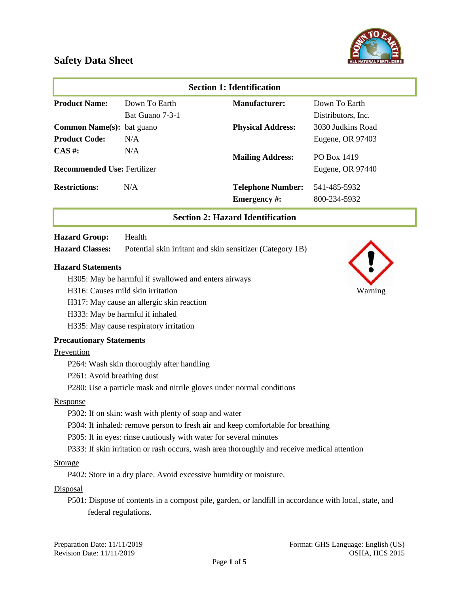



| <b>Section 1: Identification</b>        |                 |                          |                    |
|-----------------------------------------|-----------------|--------------------------|--------------------|
| <b>Product Name:</b>                    | Down To Earth   | <b>Manufacturer:</b>     | Down To Earth      |
|                                         | Bat Guano 7-3-1 |                          | Distributors, Inc. |
| <b>Common Name(s):</b> bat guano        |                 | <b>Physical Address:</b> | 3030 Judkins Road  |
| <b>Product Code:</b>                    | N/A             |                          | Eugene, OR 97403   |
| $CAS \#$ :                              | N/A             | <b>Mailing Address:</b>  | PO Box 1419        |
| <b>Recommended Use: Fertilizer</b>      |                 |                          | Eugene, OR 97440   |
| <b>Restrictions:</b>                    | N/A             | <b>Telephone Number:</b> | 541-485-5932       |
|                                         |                 | <b>Emergency</b> #:      | 800-234-5932       |
| <b>Section 2: Hazard Identification</b> |                 |                          |                    |
| <b>Hazard Group:</b>                    | Health          |                          |                    |

# **Hazard Classes:** Potential skin irritant and skin sensitizer (Category 1B)

#### **Hazard Statements**

- H305: May be harmful if swallowed and enters airways
- H316: Causes mild skin irritation Warning
- H317: May cause an allergic skin reaction
- H333: May be harmful if inhaled

H335: May cause respiratory irritation

#### **Precautionary Statements**

### Prevention

- P264: Wash skin thoroughly after handling
- P261: Avoid breathing dust
- P280: Use a particle mask and nitrile gloves under normal conditions

#### Response

- P302: If on skin: wash with plenty of soap and water
- P304: If inhaled: remove person to fresh air and keep comfortable for breathing
- P305: If in eyes: rinse cautiously with water for several minutes
- P333: If skin irritation or rash occurs, wash area thoroughly and receive medical attention

### Storage

P402: Store in a dry place. Avoid excessive humidity or moisture.

#### **Disposal**

P501: Dispose of contents in a compost pile, garden, or landfill in accordance with local, state, and federal regulations.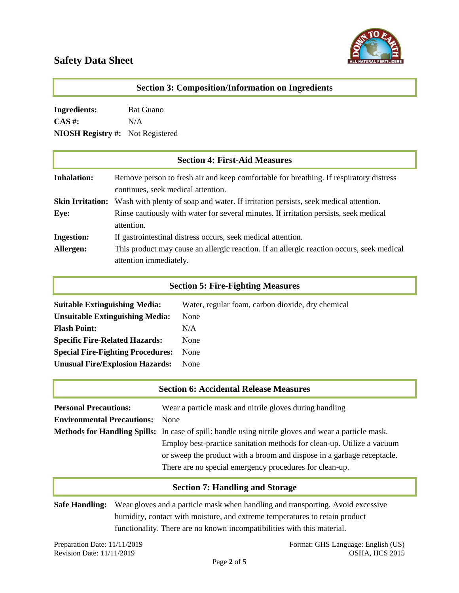

| <b>Section 3: Composition/Information on Ingredients</b> |                                                                                                                              |  |
|----------------------------------------------------------|------------------------------------------------------------------------------------------------------------------------------|--|
| <b>Ingredients:</b>                                      | <b>Bat Guano</b>                                                                                                             |  |
| $CAS \#$ :                                               | N/A                                                                                                                          |  |
| NIOSH Registry $\#$ :                                    | Not Registered                                                                                                               |  |
|                                                          | <b>Section 4: First-Aid Measures</b>                                                                                         |  |
| <b>Inhalation:</b>                                       | Remove person to fresh air and keep comfortable for breathing. If respiratory distress<br>continues, seek medical attention. |  |
| <b>Skin Irritation:</b>                                  | Wash with plenty of soap and water. If irritation persists, seek medical attention.                                          |  |
| Eye:                                                     | Rinse cautiously with water for several minutes. If irritation persists, seek medical<br>attention.                          |  |
| <b>Ingestion:</b>                                        | If gastrointestinal distress occurs, seek medical attention.                                                                 |  |
| Allergen:                                                | This product may cause an allergic reaction. If an allergic reaction occurs, seek medical<br>attention immediately.          |  |

## **Section 5: Fire-Fighting Measures**

| Water, regular foam, carbon dioxide, dry chemical |
|---------------------------------------------------|
| None                                              |
| N/A                                               |
| None                                              |
| None                                              |
| None                                              |
|                                                   |

|                                   | <b>Section 6: Accidental Release Measures</b>                                                               |
|-----------------------------------|-------------------------------------------------------------------------------------------------------------|
| <b>Personal Precautions:</b>      | Wear a particle mask and nitrile gloves during handling                                                     |
| <b>Environmental Precautions:</b> | <b>None</b>                                                                                                 |
|                                   | <b>Methods for Handling Spills:</b> In case of spill: handle using nitrile gloves and wear a particle mask. |
|                                   | Employ best-practice sanitation methods for clean-up. Utilize a vacuum                                      |
|                                   | or sweep the product with a broom and dispose in a garbage receptacle.                                      |
|                                   | There are no special emergency procedures for clean-up.                                                     |

# **Section 7: Handling and Storage**

**Safe Handling:** Wear gloves and a particle mask when handling and transporting. Avoid excessive humidity, contact with moisture, and extreme temperatures to retain product functionality. There are no known incompatibilities with this material.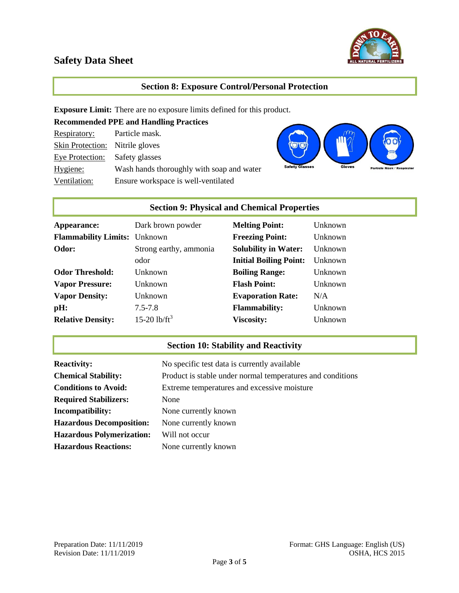

## **Section 8: Exposure Control/Personal Protection**

**Exposure Limit:** There are no exposure limits defined for this product.

| <b>Recommended PPE and Handling Practices</b> |                                           |  |
|-----------------------------------------------|-------------------------------------------|--|
| Respiratory:                                  | Particle mask.                            |  |
| Skin Protection: Nitrile gloves               |                                           |  |
| Eye Protection: Safety glasses                |                                           |  |
| Hygiene:                                      | Wash hands thoroughly with soap and water |  |
| Ventilation:                                  | Ensure workspace is well-ventilated       |  |



# **Section 9: Physical and Chemical Properties**

| Appearance:                         | Dark brown powder      | <b>Melting Point:</b>         | Unknown |
|-------------------------------------|------------------------|-------------------------------|---------|
| <b>Flammability Limits:</b> Unknown |                        | <b>Freezing Point:</b>        | Unknown |
| Odor:                               | Strong earthy, ammonia | <b>Solubility in Water:</b>   | Unknown |
|                                     | odor                   | <b>Initial Boiling Point:</b> | Unknown |
| <b>Odor Threshold:</b>              | Unknown                | <b>Boiling Range:</b>         | Unknown |
| <b>Vapor Pressure:</b>              | <b>Unknown</b>         | <b>Flash Point:</b>           | Unknown |
| <b>Vapor Density:</b>               | <b>Unknown</b>         | <b>Evaporation Rate:</b>      | N/A     |
| pH:                                 | $7.5 - 7.8$            | <b>Flammability:</b>          | Unknown |
| <b>Relative Density:</b>            | 15-20 $1b/ft^3$        | <b>Viscosity:</b>             | Unknown |

# **Section 10: Stability and Reactivity**

| <b>Reactivity:</b>               | No specific test data is currently available               |
|----------------------------------|------------------------------------------------------------|
| <b>Chemical Stability:</b>       | Product is stable under normal temperatures and conditions |
| <b>Conditions to Avoid:</b>      | Extreme temperatures and excessive moisture                |
| <b>Required Stabilizers:</b>     | None                                                       |
| Incompatibility:                 | None currently known                                       |
| <b>Hazardous Decomposition:</b>  | None currently known                                       |
| <b>Hazardous Polymerization:</b> | Will not occur                                             |
| <b>Hazardous Reactions:</b>      | None currently known                                       |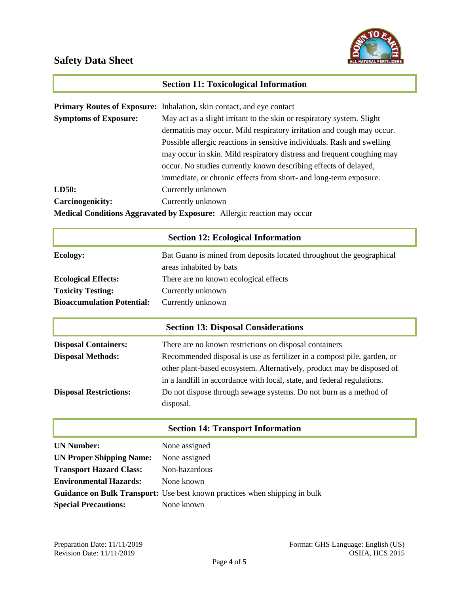

|                                                                               | <b>Section 11: Toxicological Information</b>                                 |  |
|-------------------------------------------------------------------------------|------------------------------------------------------------------------------|--|
|                                                                               |                                                                              |  |
|                                                                               | <b>Primary Routes of Exposure:</b> Inhalation, skin contact, and eye contact |  |
| <b>Symptoms of Exposure:</b>                                                  | May act as a slight irritant to the skin or respiratory system. Slight       |  |
|                                                                               | dermatitis may occur. Mild respiratory irritation and cough may occur.       |  |
|                                                                               | Possible allergic reactions in sensitive individuals. Rash and swelling      |  |
|                                                                               | may occur in skin. Mild respiratory distress and frequent coughing may       |  |
|                                                                               | occur. No studies currently known describing effects of delayed,             |  |
|                                                                               | immediate, or chronic effects from short- and long-term exposure.            |  |
| LD50:                                                                         | Currently unknown                                                            |  |
| <b>Carcinogenicity:</b>                                                       | Currently unknown                                                            |  |
| <b>Medical Conditions Aggravated by Exposure:</b> Allergic reaction may occur |                                                                              |  |

|                                   | <b>Section 12: Ecological Information</b>                                                       |  |
|-----------------------------------|-------------------------------------------------------------------------------------------------|--|
| <b>Ecology:</b>                   | Bat Guano is mined from deposits located throughout the geographical<br>areas inhabited by bats |  |
| <b>Ecological Effects:</b>        | There are no known ecological effects                                                           |  |
| <b>Toxicity Testing:</b>          | Currently unknown                                                                               |  |
| <b>Bioaccumulation Potential:</b> | Currently unknown                                                                               |  |
|                                   | <b>Section 13: Disposal Considerations</b>                                                      |  |
| <b>Disposal Containers:</b>       | There are no known restrictions on disposal containers                                          |  |
| <b>Disposal Methods:</b>          | Recommended disposal is use as fertilizer in a compost pile, garden, or                         |  |
|                                   | other plant-based ecosystem. Alternatively, product may be disposed of                          |  |
|                                   | in a landfill in accordance with local, state, and federal regulations.                         |  |
| <b>Disposal Restrictions:</b>     | Do not dispose through sewage systems. Do not burn as a method of                               |  |

## **Section 14: Transport Information**

| <b>UN Number:</b>               | None assigned                                                                     |
|---------------------------------|-----------------------------------------------------------------------------------|
| <b>UN Proper Shipping Name:</b> | None assigned                                                                     |
| <b>Transport Hazard Class:</b>  | Non-hazardous                                                                     |
| <b>Environmental Hazards:</b>   | None known                                                                        |
|                                 | <b>Guidance on Bulk Transport:</b> Use best known practices when shipping in bulk |
| <b>Special Precautions:</b>     | None known                                                                        |

disposal.